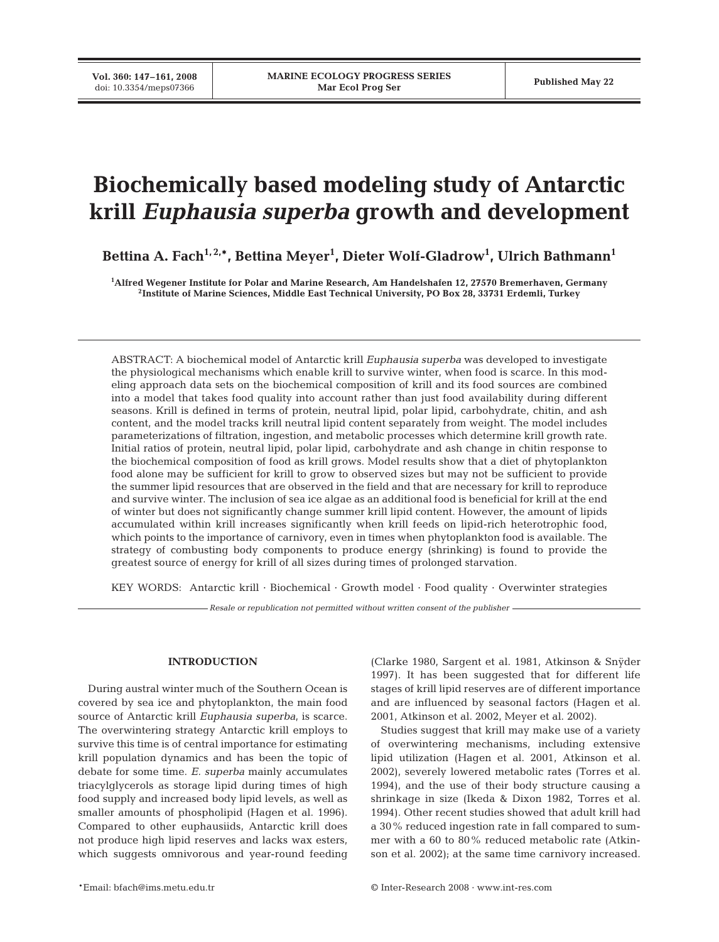# **Biochemically based modeling study of Antarctic krill** *Euphausia superba* **growth and development**

Bettina A. Fach<sup>1,2,</sup>\*, Bettina Meyer<sup>1</sup>, Dieter Wolf-Gladrow<sup>1</sup>, Ulrich Bathmann<sup>1</sup>

**1 Alfred Wegener Institute for Polar and Marine Research, Am Handelshafen 12, 27570 Bremerhaven, Germany 2Institute of Marine Sciences, Middle East Technical University, PO Box 28, 33731 Erdemli, Turkey**

ABSTRACT: A biochemical model of Antarctic krill *Euphausia superba* was developed to investigate the physiological mechanisms which enable krill to survive winter, when food is scarce. In this modeling approach data sets on the biochemical composition of krill and its food sources are combined into a model that takes food quality into account rather than just food availability during different seasons. Krill is defined in terms of protein, neutral lipid, polar lipid, carbohydrate, chitin, and ash content, and the model tracks krill neutral lipid content separately from weight. The model includes parameterizations of filtration, ingestion, and metabolic processes which determine krill growth rate. Initial ratios of protein, neutral lipid, polar lipid, carbohydrate and ash change in chitin response to the biochemical composition of food as krill grows. Model results show that a diet of phytoplankton food alone may be sufficient for krill to grow to observed sizes but may not be sufficient to provide the summer lipid resources that are observed in the field and that are necessary for krill to reproduce and survive winter. The inclusion of sea ice algae as an additional food is beneficial for krill at the end of winter but does not significantly change summer krill lipid content. However, the amount of lipids accumulated within krill increases significantly when krill feeds on lipid-rich heterotrophic food, which points to the importance of carnivory, even in times when phytoplankton food is available. The strategy of combusting body components to produce energy (shrinking) is found to provide the greatest source of energy for krill of all sizes during times of prolonged starvation.

KEY WORDS: Antarctic krill · Biochemical · Growth model · Food quality · Overwinter strategies

*Resale or republication not permitted without written consent of the publisher*

# **INTRODUCTION**

During austral winter much of the Southern Ocean is covered by sea ice and phytoplankton, the main food source of Antarctic krill *Euphausia superba*, is scarce. The overwintering strategy Antarctic krill employs to survive this time is of central importance for estimating krill population dynamics and has been the topic of debate for some time. *E. superba* mainly accumulates triacylglycerols as storage lipid during times of high food supply and increased body lipid levels, as well as smaller amounts of phospholipid (Hagen et al. 1996). Compared to other euphausiids, Antarctic krill does not produce high lipid reserves and lacks wax esters, which suggests omnivorous and year-round feeding

(Clarke 1980, Sargent et al. 1981, Atkinson & Snÿder 1997). It has been suggested that for different life stages of krill lipid reserves are of different importance and are influenced by seasonal factors (Hagen et al. 2001, Atkinson et al. 2002, Meyer et al. 2002).

Studies suggest that krill may make use of a variety of overwintering mechanisms, including extensive lipid utilization (Hagen et al. 2001, Atkinson et al. 2002), severely lowered metabolic rates (Torres et al. 1994), and the use of their body structure causing a shrinkage in size (Ikeda & Dixon 1982, Torres et al. 1994). Other recent studies showed that adult krill had a 30% reduced ingestion rate in fall compared to summer with a 60 to 80% reduced metabolic rate (Atkinson et al. 2002); at the same time carnivory increased.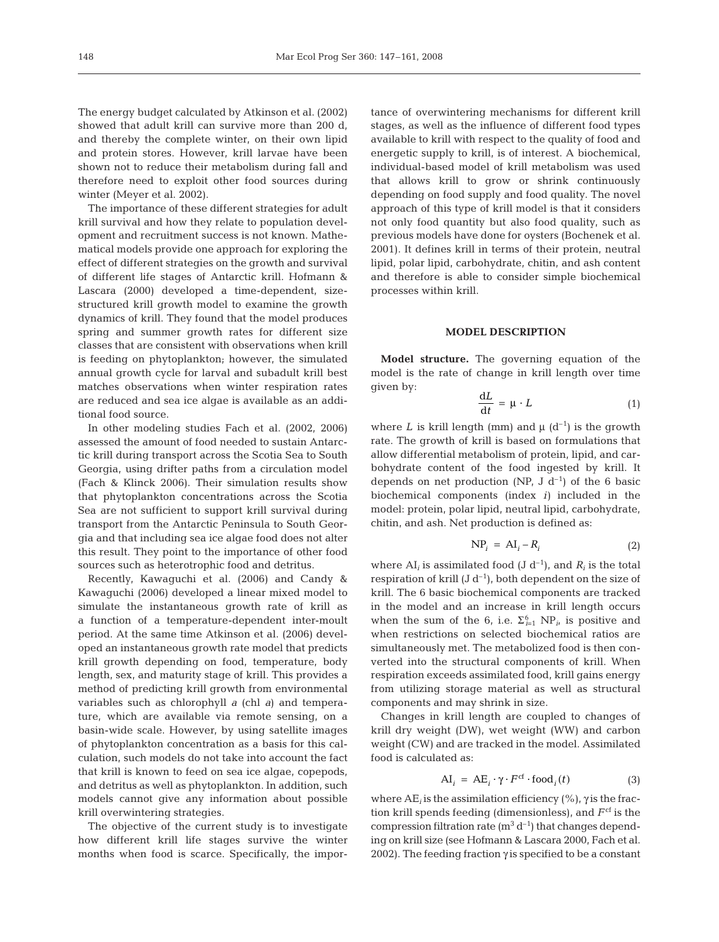The energy budget calculated by Atkinson et al. (2002) showed that adult krill can survive more than 200 d, and thereby the complete winter, on their own lipid and protein stores. However, krill larvae have been shown not to reduce their metabolism during fall and therefore need to exploit other food sources during winter (Meyer et al. 2002).

The importance of these different strategies for adult krill survival and how they relate to population development and recruitment success is not known. Mathematical models provide one approach for exploring the effect of different strategies on the growth and survival of different life stages of Antarctic krill. Hofmann & Lascara (2000) developed a time-dependent, sizestructured krill growth model to examine the growth dynamics of krill. They found that the model produces spring and summer growth rates for different size classes that are consistent with observations when krill is feeding on phytoplankton; however, the simulated annual growth cycle for larval and subadult krill best matches observations when winter respiration rates are reduced and sea ice algae is available as an additional food source.

In other modeling studies Fach et al. (2002, 2006) assessed the amount of food needed to sustain Antarctic krill during transport across the Scotia Sea to South Georgia, using drifter paths from a circulation model (Fach & Klinck 2006). Their simulation results show that phytoplankton concentrations across the Scotia Sea are not sufficient to support krill survival during transport from the Antarctic Peninsula to South Georgia and that including sea ice algae food does not alter this result. They point to the importance of other food sources such as heterotrophic food and detritus.

Recently, Kawaguchi et al. (2006) and Candy & Kawaguchi (2006) developed a linear mixed model to simulate the instantaneous growth rate of krill as a function of a temperature-dependent inter-moult period. At the same time Atkinson et al. (2006) developed an instantaneous growth rate model that predicts krill growth depending on food, temperature, body length, sex, and maturity stage of krill. This provides a method of predicting krill growth from environmental variables such as chlorophyll *a* (chl *a*) and temperature, which are available via remote sensing, on a basin-wide scale. However, by using satellite images of phytoplankton concentration as a basis for this calculation, such models do not take into account the fact that krill is known to feed on sea ice algae, copepods, and detritus as well as phytoplankton. In addition, such models cannot give any information about possible krill overwintering strategies.

The objective of the current study is to investigate how different krill life stages survive the winter months when food is scarce. Specifically, the importance of overwintering mechanisms for different krill stages, as well as the influence of different food types available to krill with respect to the quality of food and energetic supply to krill, is of interest. A biochemical, individual-based model of krill metabolism was used that allows krill to grow or shrink continuously depending on food supply and food quality. The novel approach of this type of krill model is that it considers not only food quantity but also food quality, such as previous models have done for oysters (Bochenek et al. 2001). It defines krill in terms of their protein, neutral lipid, polar lipid, carbohydrate, chitin, and ash content and therefore is able to consider simple biochemical processes within krill.

### **MODEL DESCRIPTION**

**Model structure.** The governing equation of the model is the rate of change in krill length over time given by:

$$
\frac{\mathrm{d}L}{\mathrm{d}t} = \mu \cdot L \tag{1}
$$

where *L* is krill length (mm) and  $\mu$  (d<sup>-1</sup>) is the growth rate. The growth of krill is based on formulations that allow differential metabolism of protein, lipid, and carbohydrate content of the food ingested by krill. It depends on net production (NP, J  $d^{-1}$ ) of the 6 basic biochemical components (index *i)* included in the model: protein, polar lipid, neutral lipid, carbohydrate, chitin, and ash. Net production is defined as:

$$
NP_i = AI_i - R_i \tag{2}
$$

where  $AI_i$  is assimilated food  $(J d^{-1})$ , and  $R_i$  is the total respiration of krill  $(J d^{-1})$ , both dependent on the size of krill. The 6 basic biochemical components are tracked in the model and an increase in krill length occurs when the sum of the 6, i.e.  $\Sigma_{i=1}^6$  NP<sub>*i*</sub> is positive and when restrictions on selected biochemical ratios are simultaneously met. The metabolized food is then converted into the structural components of krill. When respiration exceeds assimilated food, krill gains energy from utilizing storage material as well as structural components and may shrink in size.

Changes in krill length are coupled to changes of krill dry weight (DW), wet weight (WW) and carbon weight (CW) and are tracked in the model. Assimilated food is calculated as:

$$
AI_i = AE_i \cdot \gamma \cdot F^{cf} \cdot food_i(t) \tag{3}
$$

where AE*<sup>i</sup>* is the assimilation efficiency (%), γ is the fraction krill spends feeding (dimensionless), and  $F<sup>cf</sup>$  is the compression filtration rate  $(m^3 d^{-1})$  that changes depending on krill size (see Hofmann & Lascara 2000, Fach et al. 2002). The feeding fraction  $\gamma$  is specified to be a constant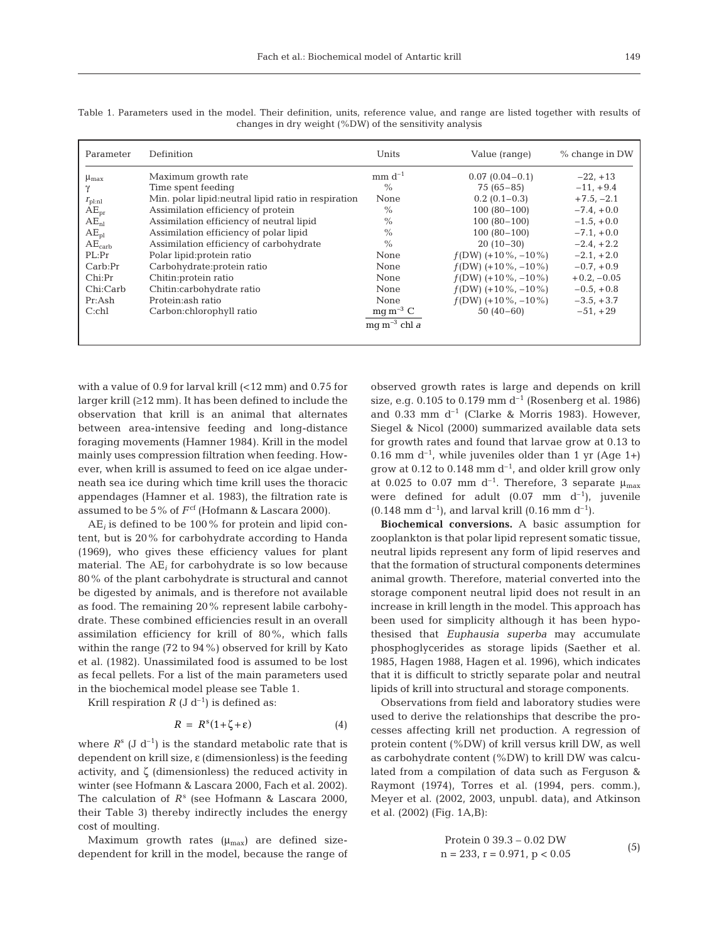| Parameter          | Definition                                           | Units                    | Value (range)        | $%$ change in DW |
|--------------------|------------------------------------------------------|--------------------------|----------------------|------------------|
| $\mu_{\text{max}}$ | Maximum growth rate                                  | $mm d^{-1}$              | $0.07(0.04-0.1)$     | $-22, +13$       |
|                    | Time spent feeding                                   | $\%$                     | $75(65-85)$          | $-11, +9.4$      |
| $T_{\text{pl:nl}}$ | Min. polar lipid: neutral lipid ratio in respiration | <b>None</b>              | $0.2(0.1-0.3)$       | $+7.5, -2.1$     |
| $AE_{pr}$          | Assimilation efficiency of protein                   | $\%$                     | $100(80-100)$        | $-7.4, +0.0$     |
| $AE_{nl}$          | Assimilation efficiency of neutral lipid             | $\%$                     | $100(80-100)$        | $-1.5, +0.0$     |
| $AE_{pl}$          | Assimilation efficiency of polar lipid               | $\%$                     | $100(80-100)$        | $-7.1 + 0.0$     |
| $AE_{\rm carb}$    | Assimilation efficiency of carbohydrate              | $\%$                     | $20(10-30)$          | $-2.4, +2.2$     |
| PL:Pr              | Polar lipid: protein ratio                           | <b>None</b>              | $f(DW)$ (+10%, -10%) | $-2.1, +2.0$     |
| Carb:Pr            | Carbohydrate: protein ratio                          | None                     | $f(DW)$ (+10%, -10%) | $-0.7, +0.9$     |
| Chi:Pr             | Chitin: protein ratio                                | None                     | $f(DW)$ (+10%, -10%) | $+0.2, -0.05$    |
| Chi:Carb           | Chitin:carbohydrate ratio                            | None                     | $f(DW)$ (+10%, -10%) | $-0.5, +0.8$     |
| Pr:Ash             | Protein: ash ratio                                   | None                     | $f(DW)$ (+10%, -10%) | $-3.5, +3.7$     |
| $C:$ chl           | Carbon:chlorophyll ratio                             | $mq \, m^{-3} \, C$      | $50(40-60)$          | $-51. +29$       |
|                    |                                                      | mg m <sup>-3</sup> chl a |                      |                  |
|                    |                                                      |                          |                      |                  |

Table 1. Parameters used in the model. Their definition, units, reference value, and range are listed together with results of changes in dry weight (%DW) of the sensitivity analysis

with a value of 0.9 for larval krill (<12 mm) and 0.75 for larger krill (≥12 mm). It has been defined to include the observation that krill is an animal that alternates between area-intensive feeding and long-distance foraging movements (Hamner 1984). Krill in the model mainly uses compression filtration when feeding. However, when krill is assumed to feed on ice algae underneath sea ice during which time krill uses the thoracic appendages (Hamner et al. 1983), the filtration rate is assumed to be 5% of  $F^{\text{cf}}$  (Hofmann & Lascara 2000).

 $AE_i$  is defined to be 100% for protein and lipid content, but is 20% for carbohydrate according to Handa (1969), who gives these efficiency values for plant material. The AE*<sup>i</sup>* for carbohydrate is so low because 80% of the plant carbohydrate is structural and cannot be digested by animals, and is therefore not available as food. The remaining 20% represent labile carbohydrate. These combined efficiencies result in an overall assimilation efficiency for krill of 80%, which falls within the range (72 to 94%) observed for krill by Kato et al. (1982). Unassimilated food is assumed to be lost as fecal pellets. For a list of the main parameters used in the biochemical model please see Table 1.

Krill respiration  $R$  (J d<sup>-1</sup>) is defined as:

$$
R = R^{s}(1+\zeta+\varepsilon) \tag{4}
$$

where  $R^s$  (J d<sup>-1</sup>) is the standard metabolic rate that is dependent on krill size, ε (dimensionless) is the feeding activity, and ζ (dimensionless) the reduced activity in winter (see Hofmann & Lascara 2000, Fach et al. 2002). The calculation of *R*<sup>s</sup> (see Hofmann & Lascara 2000, their Table 3) thereby indirectly includes the energy cost of moulting.

Maximum growth rates  $(\mu_{\text{max}})$  are defined sizedependent for krill in the model, because the range of observed growth rates is large and depends on krill size, e.g. 0.105 to 0.179 mm  $d^{-1}$  (Rosenberg et al. 1986) and 0.33 mm  $d^{-1}$  (Clarke & Morris 1983). However, Siegel & Nicol (2000) summarized available data sets for growth rates and found that larvae grow at 0.13 to 0.16 mm  $d^{-1}$ , while juveniles older than 1 yr (Age 1+) grow at 0.12 to 0.148 mm  $d^{-1}$ , and older krill grow only at 0.025 to 0.07 mm d<sup>-1</sup>. Therefore, 3 separate  $\mu_{\text{max}}$ were defined for adult  $(0.07 \text{ mm } d^{-1})$ , juvenile  $(0.148 \text{ mm d}^{-1})$ , and larval krill  $(0.16 \text{ mm d}^{-1})$ .

**Biochemical conversions.** A basic assumption for zooplankton is that polar lipid represent somatic tissue, neutral lipids represent any form of lipid reserves and that the formation of structural components determines animal growth. Therefore, material converted into the storage component neutral lipid does not result in an increase in krill length in the model. This approach has been used for simplicity although it has been hypothesised that *Euphausia superba* may accumulate phosphoglycerides as storage lipids (Saether et al. 1985, Hagen 1988, Hagen et al. 1996), which indicates that it is difficult to strictly separate polar and neutral lipids of krill into structural and storage components.

Observations from field and laboratory studies were used to derive the relationships that describe the processes affecting krill net production. A regression of protein content (%DW) of krill versus krill DW, as well as carbohydrate content (%DW) to krill DW was calculated from a compilation of data such as Ferguson & Raymont (1974), Torres et al. (1994, pers. comm.), Meyer et al. (2002, 2003, unpubl. data), and Atkinson et al. (2002) (Fig. 1A,B):

$$
Protein 0 39.3 - 0.02 DW
$$
  
n = 233, r = 0.971, p < 0.05 (5)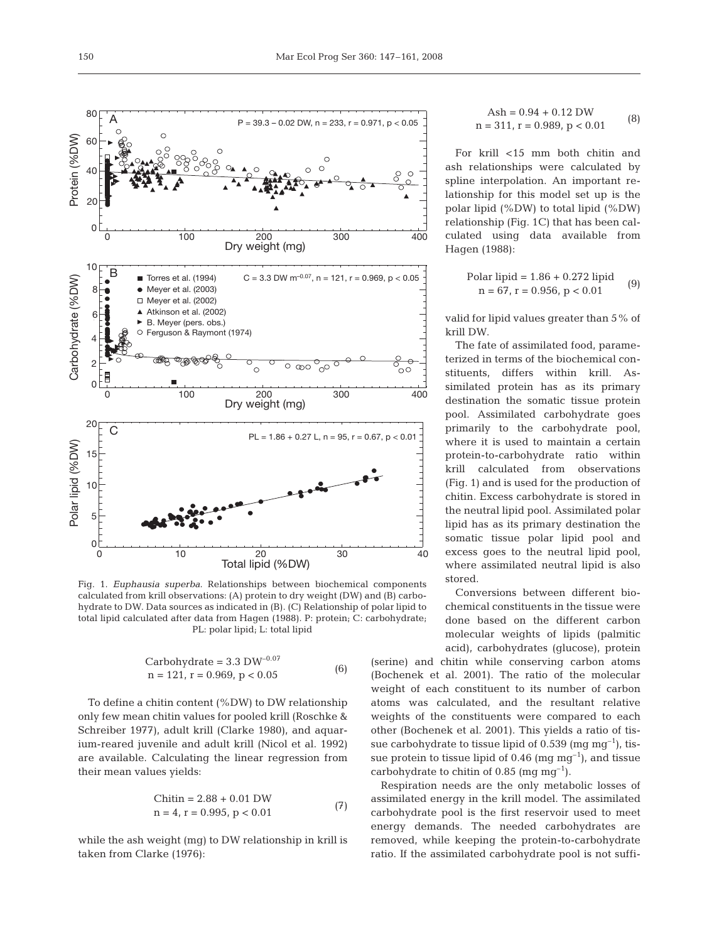

Fig. 1. *Euphausia superba*. Relationships between biochemical components calculated from krill observations: (A) protein to dry weight (DW) and (B) carbohydrate to DW. Data sources as indicated in (B). (C) Relationship of polar lipid to total lipid calculated after data from Hagen (1988). P: protein; C: carbohydrate; PL: polar lipid; L: total lipid

Carbohydrate = 
$$
3.3 \text{ DW}^{-0.07}
$$
  
n = 121, r = 0.969, p < 0.05 (6)

To define a chitin content (%DW) to DW relationship only few mean chitin values for pooled krill (Roschke & Schreiber 1977), adult krill (Clarke 1980), and aquarium-reared juvenile and adult krill (Nicol et al. 1992) are available. Calculating the linear regression from their mean values yields:

$$
\begin{aligned} \text{Chitin} &= 2.88 + 0.01 \text{ DW} \\ \text{n} &= 4, \text{r} = 0.995, \text{p} < 0.01 \end{aligned} \tag{7}
$$

while the ash weight (mg) to DW relationship in krill is taken from Clarke (1976):

$$
Ash = 0.94 + 0.12 DW
$$
  
n = 311, r = 0.989, p < 0.01 (8)

For krill <15 mm both chitin and ash relationships were calculated by spline interpolation. An important relationship for this model set up is the polar lipid (%DW) to total lipid (%DW) relationship (Fig. 1C) that has been calculated using data available from Hagen (1988):

Polar lipid = 
$$
1.86 + 0.272
$$
 lipid  
n =  $67$ , r = 0.956, p < 0.01 (9)

valid for lipid values greater than 5% of krill DW.

The fate of assimilated food, parameterized in terms of the biochemical constituents, differs within krill. Assimilated protein has as its primary destination the somatic tissue protein pool. Assimilated carbohydrate goes primarily to the carbohydrate pool, where it is used to maintain a certain protein-to-carbohydrate ratio within krill calculated from observations (Fig. 1) and is used for the production of chitin. Excess carbohydrate is stored in the neutral lipid pool. Assimilated polar lipid has as its primary destination the somatic tissue polar lipid pool and excess goes to the neutral lipid pool, where assimilated neutral lipid is also stored.

Conversions between different biochemical constituents in the tissue were done based on the different carbon molecular weights of lipids (palmitic acid), carbohydrates (glucose), protein

(serine) and chitin while conserving carbon atoms (Bochenek et al. 2001). The ratio of the molecular weight of each constituent to its number of carbon atoms was calculated, and the resultant relative weights of the constituents were compared to each other (Bochenek et al. 2001). This yields a ratio of tissue carbohydrate to tissue lipid of 0.539 (mg  $mg^{-1}$ ), tissue protein to tissue lipid of 0.46 (mg  $mg^{-1}$ ), and tissue carbohydrate to chitin of 0.85 (mg  $mg^{-1}$ ).

Respiration needs are the only metabolic losses of assimilated energy in the krill model. The assimilated carbohydrate pool is the first reservoir used to meet energy demands. The needed carbohydrates are removed, while keeping the protein-to-carbohydrate ratio. If the assimilated carbohydrate pool is not suffi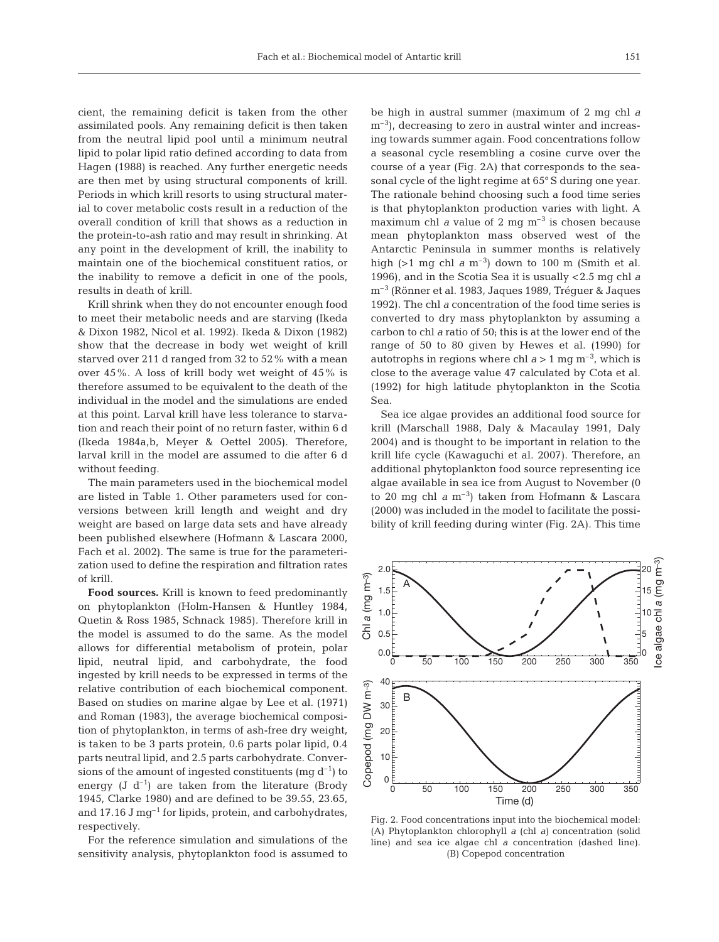cient, the remaining deficit is taken from the other assimilated pools. Any remaining deficit is then taken from the neutral lipid pool until a minimum neutral lipid to polar lipid ratio defined according to data from Hagen (1988) is reached. Any further energetic needs are then met by using structural components of krill. Periods in which krill resorts to using structural material to cover metabolic costs result in a reduction of the overall condition of krill that shows as a reduction in the protein-to-ash ratio and may result in shrinking. At any point in the development of krill, the inability to maintain one of the biochemical constituent ratios, or the inability to remove a deficit in one of the pools, results in death of krill.

Krill shrink when they do not encounter enough food to meet their metabolic needs and are starving (Ikeda & Dixon 1982, Nicol et al. 1992). Ikeda & Dixon (1982) show that the decrease in body wet weight of krill starved over 211 d ranged from 32 to 52% with a mean over 45%. A loss of krill body wet weight of 45% is therefore assumed to be equivalent to the death of the individual in the model and the simulations are ended at this point. Larval krill have less tolerance to starvation and reach their point of no return faster, within 6 d (Ikeda 1984a,b, Meyer & Oettel 2005). Therefore, larval krill in the model are assumed to die after 6 d without feeding.

The main parameters used in the biochemical model are listed in Table 1. Other parameters used for conversions between krill length and weight and dry weight are based on large data sets and have already been published elsewhere (Hofmann & Lascara 2000, Fach et al. 2002). The same is true for the parameterization used to define the respiration and filtration rates of krill.

**Food sources.** Krill is known to feed predominantly on phytoplankton (Holm-Hansen & Huntley 1984, Quetin & Ross 1985, Schnack 1985). Therefore krill in the model is assumed to do the same. As the model allows for differential metabolism of protein, polar lipid, neutral lipid, and carbohydrate, the food ingested by krill needs to be expressed in terms of the relative contribution of each biochemical component. Based on studies on marine algae by Lee et al. (1971) and Roman (1983), the average biochemical composition of phytoplankton, in terms of ash-free dry weight, is taken to be 3 parts protein, 0.6 parts polar lipid, 0.4 parts neutral lipid, and 2.5 parts carbohydrate. Conversions of the amount of ingested constituents (mg  $d^{-1}$ ) to energy (J  $d^{-1}$ ) are taken from the literature (Brody 1945, Clarke 1980) and are defined to be 39.55, 23.65, and 17.16 J mg<sup>-1</sup> for lipids, protein, and carbohydrates, respectively.

For the reference simulation and simulations of the sensitivity analysis, phytoplankton food is assumed to be high in austral summer (maximum of 2 mg chl *a*  $\rm m^{-3}$ ), decreasing to zero in austral winter and increasing towards summer again. Food concentrations follow a seasonal cycle resembling a cosine curve over the course of a year (Fig. 2A) that corresponds to the seasonal cycle of the light regime at 65° S during one year. The rationale behind choosing such a food time series is that phytoplankton production varies with light. A maximum chl *a* value of 2 mg  $m^{-3}$  is chosen because mean phytoplankton mass observed west of the Antarctic Peninsula in summer months is relatively high ( $>1$  mg chl  $a$  m<sup>-3</sup>) down to 100 m (Smith et al. 1996), and in the Scotia Sea it is usually < 2.5 mg chl *a* m<sup>-3</sup> (Rönner et al. 1983, Jaques 1989, Tréguer & Jaques 1992). The chl *a* concentration of the food time series is converted to dry mass phytoplankton by assuming a carbon to chl *a* ratio of 50; this is at the lower end of the range of 50 to 80 given by Hewes et al. (1990) for autotrophs in regions where chl  $a > 1$  mg m<sup>-3</sup>, which is close to the average value 47 calculated by Cota et al. (1992) for high latitude phytoplankton in the Scotia Sea.

Sea ice algae provides an additional food source for krill (Marschall 1988, Daly & Macaulay 1991, Daly 2004) and is thought to be important in relation to the krill life cycle (Kawaguchi et al. 2007). Therefore, an additional phytoplankton food source representing ice algae available in sea ice from August to November (0 to 20 mg chl  $a$  m<sup>-3</sup>) taken from Hofmann & Lascara (2000) was included in the model to facilitate the possibility of krill feeding during winter (Fig. 2A). This time



Fig. 2. Food concentrations input into the biochemical model: (A) Phytoplankton chlorophyll *a* (chl *a)* concentration (solid line) and sea ice algae chl *a* concentration (dashed line). (B) Copepod concentration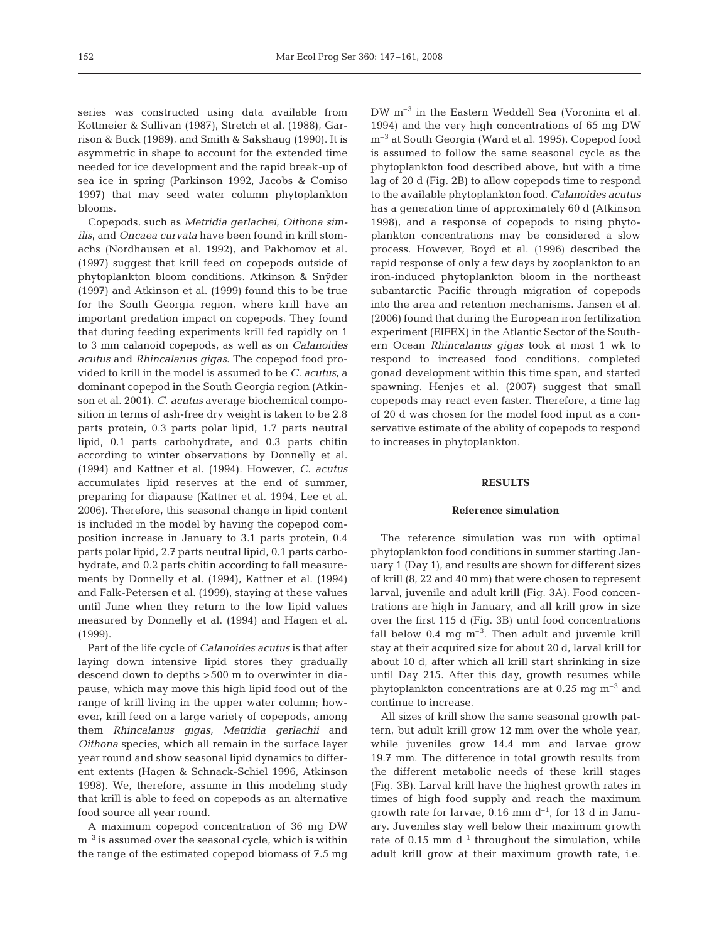series was constructed using data available from Kottmeier & Sullivan (1987), Stretch et al. (1988), Garrison & Buck (1989), and Smith & Sakshaug (1990). It is asymmetric in shape to account for the extended time needed for ice development and the rapid break-up of sea ice in spring (Parkinson 1992, Jacobs & Comiso 1997) that may seed water column phytoplankton blooms.

Copepods, such as *Metridia gerlachei*, *Oithona similis*, and *Oncaea curvata* have been found in krill stomachs (Nordhausen et al. 1992), and Pakhomov et al. (1997) suggest that krill feed on copepods outside of phytoplankton bloom conditions. Atkinson & Snÿder (1997) and Atkinson et al. (1999) found this to be true for the South Georgia region, where krill have an important predation impact on copepods. They found that during feeding experiments krill fed rapidly on 1 to 3 mm calanoid copepods, as well as on *Calanoides acutus* and *Rhincalanus gigas*. The copepod food provided to krill in the model is assumed to be *C. acutus*, a dominant copepod in the South Georgia region (Atkinson et al. 2001). *C. acutus* average biochemical composition in terms of ash-free dry weight is taken to be 2.8 parts protein, 0.3 parts polar lipid, 1.7 parts neutral lipid, 0.1 parts carbohydrate, and 0.3 parts chitin according to winter observations by Donnelly et al. (1994) and Kattner et al. (1994). However, *C. acutus* accumulates lipid reserves at the end of summer, preparing for diapause (Kattner et al. 1994, Lee et al. 2006). Therefore, this seasonal change in lipid content is included in the model by having the copepod composition increase in January to 3.1 parts protein, 0.4 parts polar lipid, 2.7 parts neutral lipid, 0.1 parts carbohydrate, and 0.2 parts chitin according to fall measurements by Donnelly et al. (1994), Kattner et al. (1994) and Falk-Petersen et al. (1999), staying at these values until June when they return to the low lipid values measured by Donnelly et al. (1994) and Hagen et al. (1999).

Part of the life cycle of *Calanoides acutus* is that after laying down intensive lipid stores they gradually descend down to depths > 500 m to overwinter in diapause, which may move this high lipid food out of the range of krill living in the upper water column; however, krill feed on a large variety of copepods, among them *Rhincalanus gigas, Metridia gerlachii* and *Oithona* species, which all remain in the surface layer year round and show seasonal lipid dynamics to different extents (Hagen & Schnack-Schiel 1996, Atkinson 1998). We, therefore, assume in this modeling study that krill is able to feed on copepods as an alternative food source all year round.

A maximum copepod concentration of 36 mg DW  $m<sup>-3</sup>$  is assumed over the seasonal cycle, which is within the range of the estimated copepod biomass of 7.5 mg DW m<sup>-3</sup> in the Eastern Weddell Sea (Voronina et al. 1994) and the very high concentrations of 65 mg DW  $m<sup>-3</sup>$  at South Georgia (Ward et al. 1995). Copepod food is assumed to follow the same seasonal cycle as the phytoplankton food described above, but with a time lag of 20 d (Fig. 2B) to allow copepods time to respond to the available phytoplankton food. *Calanoides acutus* has a generation time of approximately 60 d (Atkinson 1998), and a response of copepods to rising phytoplankton concentrations may be considered a slow process. However, Boyd et al. (1996) described the rapid response of only a few days by zooplankton to an iron-induced phytoplankton bloom in the northeast subantarctic Pacific through migration of copepods into the area and retention mechanisms. Jansen et al. (2006) found that during the European iron fertilization experiment (EIFEX) in the Atlantic Sector of the Southern Ocean *Rhincalanus gigas* took at most 1 wk to respond to increased food conditions, completed gonad development within this time span, and started spawning. Henjes et al. (2007) suggest that small copepods may react even faster. Therefore, a time lag of 20 d was chosen for the model food input as a conservative estimate of the ability of copepods to respond to increases in phytoplankton.

#### **RESULTS**

#### **Reference simulation**

The reference simulation was run with optimal phytoplankton food conditions in summer starting January 1 (Day 1), and results are shown for different sizes of krill (8, 22 and 40 mm) that were chosen to represent larval, juvenile and adult krill (Fig. 3A). Food concentrations are high in January, and all krill grow in size over the first 115 d (Fig. 3B) until food concentrations fall below  $0.4 \text{ mg m}^{-3}$ . Then adult and juvenile krill stay at their acquired size for about 20 d, larval krill for about 10 d, after which all krill start shrinking in size until Day 215. After this day, growth resumes while phytoplankton concentrations are at 0.25 mg  $\mathrm{m}^{-3}$  and continue to increase.

All sizes of krill show the same seasonal growth pattern, but adult krill grow 12 mm over the whole year, while juveniles grow 14.4 mm and larvae grow 19.7 mm. The difference in total growth results from the different metabolic needs of these krill stages (Fig. 3B). Larval krill have the highest growth rates in times of high food supply and reach the maximum growth rate for larvae,  $0.16$  mm  $d^{-1}$ , for 13 d in January. Juveniles stay well below their maximum growth rate of 0.15 mm  $d^{-1}$  throughout the simulation, while adult krill grow at their maximum growth rate, i.e.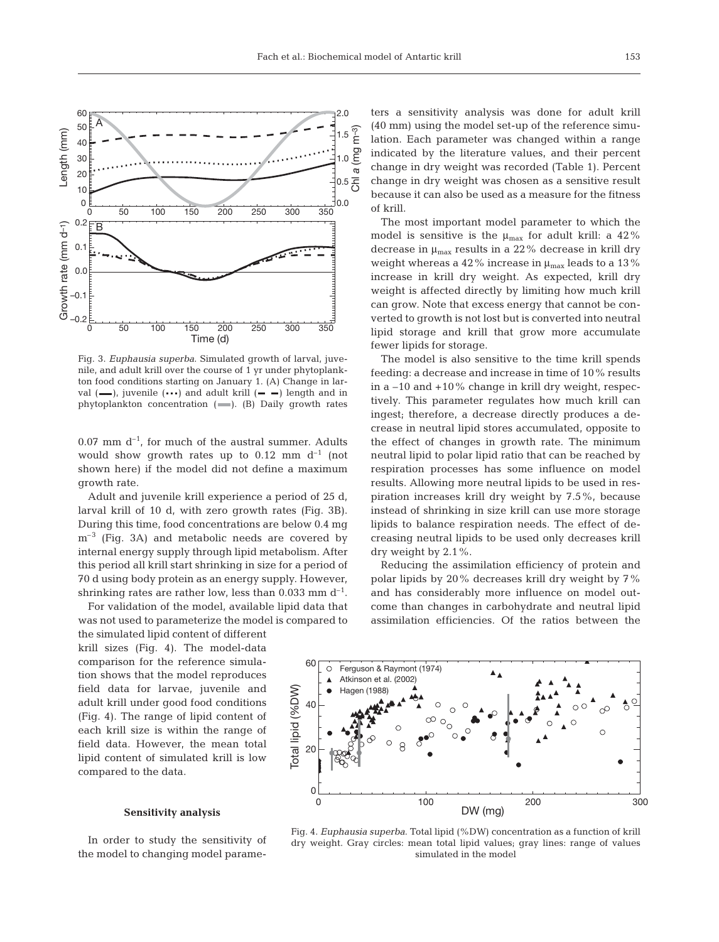

Fig. 3. *Euphausia superba*. Simulated growth of larval, juvenile, and adult krill over the course of 1 yr under phytoplankton food conditions starting on January 1. (A) Change in larval  $(-)$ , juvenile  $(\cdots)$  and adult krill  $(-)$  length and in phytoplankton concentration  $($ ,  $($ B $)$  Daily growth rates

 $0.07$  mm  $d^{-1}$ , for much of the austral summer. Adults would show growth rates up to  $0.12$  mm  $d^{-1}$  (not shown here) if the model did not define a maximum growth rate.

Adult and juvenile krill experience a period of 25 d, larval krill of 10 d, with zero growth rates (Fig. 3B). During this time, food concentrations are below 0.4 mg  $m<sup>-3</sup>$  (Fig. 3A) and metabolic needs are covered by internal energy supply through lipid metabolism. After this period all krill start shrinking in size for a period of 70 d using body protein as an energy supply. However, shrinking rates are rather low, less than 0.033 mm  $d^{-1}$ .

For validation of the model, available lipid data that was not used to parameterize the model is compared to

the simulated lipid content of different krill sizes (Fig. 4). The model-data comparison for the reference simulation shows that the model reproduces field data for larvae, juvenile and adult krill under good food conditions (Fig. 4). The range of lipid content of each krill size is within the range of field data. However, the mean total lipid content of simulated krill is low compared to the data.

#### **Sensitivity analysis**

In order to study the sensitivity of the model to changing model parameters a sensitivity analysis was done for adult krill (40 mm) using the model set-up of the reference simulation. Each parameter was changed within a range indicated by the literature values, and their percent change in dry weight was recorded (Table 1). Percent change in dry weight was chosen as a sensitive result because it can also be used as a measure for the fitness of krill.

The most important model parameter to which the model is sensitive is the  $\mu_{\text{max}}$  for adult krill: a 42% decrease in  $\mu_{\text{max}}$  results in a 22% decrease in krill dry weight whereas a 42% increase in  $\mu_{\text{max}}$  leads to a 13% increase in krill dry weight. As expected, krill dry weight is affected directly by limiting how much krill can grow. Note that excess energy that cannot be converted to growth is not lost but is converted into neutral lipid storage and krill that grow more accumulate fewer lipids for storage.

The model is also sensitive to the time krill spends feeding: a decrease and increase in time of 10% results in a –10 and +10% change in krill dry weight, respectively. This parameter regulates how much krill can ingest; therefore, a decrease directly produces a decrease in neutral lipid stores accumulated, opposite to the effect of changes in growth rate. The minimum neutral lipid to polar lipid ratio that can be reached by respiration processes has some influence on model results. Allowing more neutral lipids to be used in respiration increases krill dry weight by 7.5%, because instead of shrinking in size krill can use more storage lipids to balance respiration needs. The effect of decreasing neutral lipids to be used only decreases krill dry weight by 2.1%.

Reducing the assimilation efficiency of protein and polar lipids by 20% decreases krill dry weight by 7% and has considerably more influence on model outcome than changes in carbohydrate and neutral lipid assimilation efficiencies. Of the ratios between the



Fig. 4. *Euphausia superba*. Total lipid (%DW) concentration as a function of krill dry weight. Gray circles: mean total lipid values; gray lines: range of values simulated in the model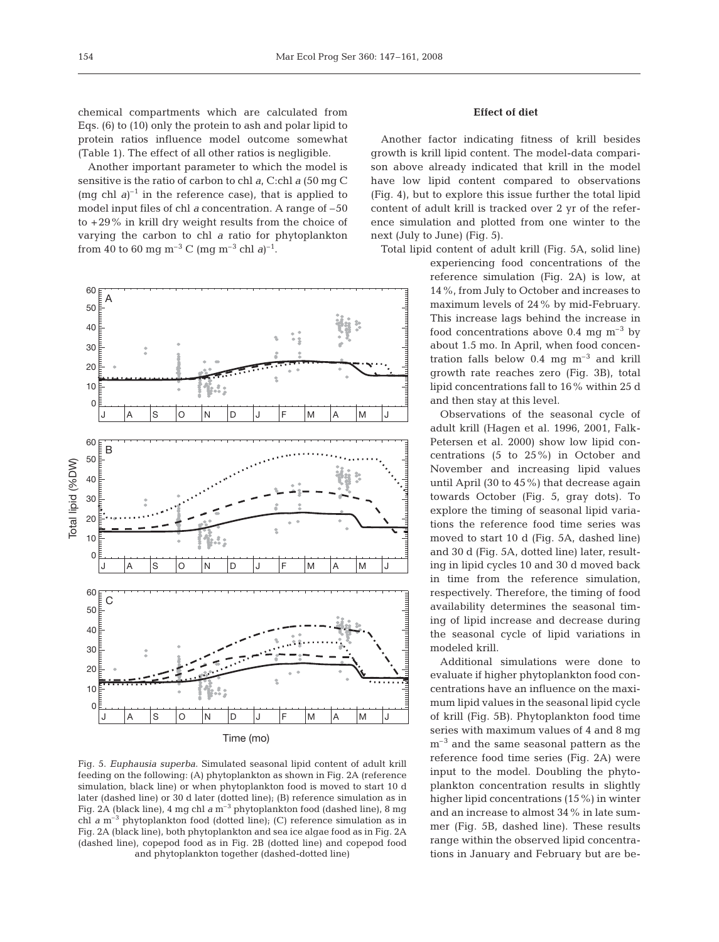chemical compartments which are calculated from Eqs. (6) to (10) only the protein to ash and polar lipid to protein ratios influence model outcome somewhat (Table 1). The effect of all other ratios is negligible.

Another important parameter to which the model is sensitive is the ratio of carbon to chl *a*, C:chl *a* (50 mg C  $(mg \text{ chl } a)^{-1}$  in the reference case), that is applied to model input files of chl *a* concentration. A range of –50 to  $+29\%$  in krill dry weight results from the choice of varying the carbon to chl *a* ratio for phytoplankton from 40 to 60 mg m<sup>-3</sup> C (mg m<sup>-3</sup> chl *a*)<sup>-1</sup>.



Fig. 5. *Euphausia superba*. Simulated seasonal lipid content of adult krill feeding on the following: (A) phytoplankton as shown in Fig. 2A (reference simulation, black line) or when phytoplankton food is moved to start 10 d later (dashed line) or 30 d later (dotted line); (B) reference simulation as in Fig. 2A (black line), 4 mg chl *a* m<sup>-3</sup> phytoplankton food (dashed line), 8 mg chl  $a$  m<sup>-3</sup> phytoplankton food (dotted line); (C) reference simulation as in Fig. 2A (black line), both phytoplankton and sea ice algae food as in Fig. 2A (dashed line), copepod food as in Fig. 2B (dotted line) and copepod food and phytoplankton together (dashed-dotted line)

## **Effect of diet**

Another factor indicating fitness of krill besides growth is krill lipid content. The model-data comparison above already indicated that krill in the model have low lipid content compared to observations (Fig. 4), but to explore this issue further the total lipid content of adult krill is tracked over 2 yr of the reference simulation and plotted from one winter to the next (July to June) (Fig. 5).

Total lipid content of adult krill (Fig. 5A, solid line)

experiencing food concentrations of the reference simulation (Fig. 2A) is low, at 14%, from July to October and increases to maximum levels of 24% by mid-February. This increase lags behind the increase in food concentrations above 0.4 mg  $\mathrm{m}^{-3}$  by about 1.5 mo. In April, when food concentration falls below  $0.4 \text{ mg m}^{-3}$  and krill growth rate reaches zero (Fig. 3B), total lipid concentrations fall to 16% within 25 d and then stay at this level.

Observations of the seasonal cycle of adult krill (Hagen et al. 1996, 2001, Falk-Petersen et al. 2000) show low lipid concentrations (5 to 25%) in October and November and increasing lipid values until April (30 to 45%) that decrease again towards October (Fig. 5, gray dots). To explore the timing of seasonal lipid variations the reference food time series was moved to start 10 d (Fig. 5A, dashed line) and 30 d (Fig. 5A, dotted line) later, resulting in lipid cycles 10 and 30 d moved back in time from the reference simulation, respectively. Therefore, the timing of food availability determines the seasonal timing of lipid increase and decrease during the seasonal cycle of lipid variations in modeled krill.

Additional simulations were done to evaluate if higher phytoplankton food concentrations have an influence on the maximum lipid values in the seasonal lipid cycle of krill (Fig. 5B). Phytoplankton food time series with maximum values of 4 and 8 mg  $m<sup>-3</sup>$  and the same seasonal pattern as the reference food time series (Fig. 2A) were input to the model. Doubling the phytoplankton concentration results in slightly higher lipid concentrations (15%) in winter and an increase to almost 34% in late summer (Fig. 5B, dashed line). These results range within the observed lipid concentrations in January and February but are be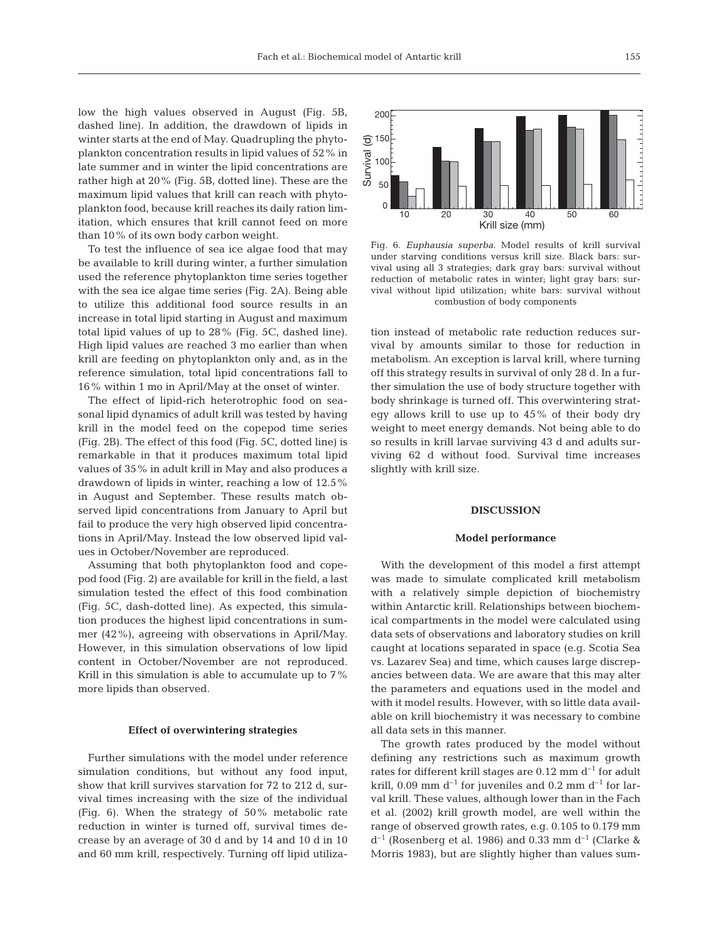low the high values observed in August (Fig. 5B, dashed line). In addition, the drawdown of lipids in winter starts at the end of May. Quadrupling the phytoplankton concentration results in lipid values of 52% in late summer and in winter the lipid concentrations are rather high at 20% (Fig. 5B, dotted line). These are the maximum lipid values that krill can reach with phytoplankton food, because krill reaches its daily ration limitation, which ensures that krill cannot feed on more than 10% of its own body carbon weight.

To test the influence of sea ice algae food that may be available to krill during winter, a further simulation used the reference phytoplankton time series together with the sea ice algae time series (Fig. 2A). Being able to utilize this additional food source results in an increase in total lipid starting in August and maximum total lipid values of up to 28% (Fig. 5C, dashed line). High lipid values are reached 3 mo earlier than when krill are feeding on phytoplankton only and, as in the reference simulation, total lipid concentrations fall to 16% within 1 mo in April/May at the onset of winter.

The effect of lipid-rich heterotrophic food on seasonal lipid dynamics of adult krill was tested by having krill in the model feed on the copepod time series (Fig. 2B). The effect of this food (Fig. 5C, dotted line) is remarkable in that it produces maximum total lipid values of 35% in adult krill in May and also produces a drawdown of lipids in winter, reaching a low of 12.5% in August and September. These results match observed lipid concentrations from January to April but fail to produce the very high observed lipid concentrations in April/May. Instead the low observed lipid values in October/November are reproduced.

Assuming that both phytoplankton food and copepod food (Fig. 2) are available for krill in the field, a last simulation tested the effect of this food combination (Fig. 5C, dash-dotted line). As expected, this simulation produces the highest lipid concentrations in summer (42%), agreeing with observations in April/May. However, in this simulation observations of low lipid content in October/November are not reproduced. Krill in this simulation is able to accumulate up to 7% more lipids than observed.

#### **Effect of overwintering strategies**

Further simulations with the model under reference simulation conditions, but without any food input, show that krill survives starvation for 72 to 212 d, survival times increasing with the size of the individual (Fig. 6). When the strategy of 50% metabolic rate reduction in winter is turned off, survival times decrease by an average of 30 d and by 14 and 10 d in 10 and 60 mm krill, respectively. Turning off lipid utiliza-



Fig. 6. *Euphausia superba*. Model results of krill survival under starving conditions versus krill size. Black bars: survival using all 3 strategies; dark gray bars: survival without reduction of metabolic rates in winter; light gray bars: survival without lipid utilization; white bars: survival without combustion of body components

tion instead of metabolic rate reduction reduces survival by amounts similar to those for reduction in metabolism. An exception is larval krill, where turning off this strategy results in survival of only 28 d. In a further simulation the use of body structure together with body shrinkage is turned off. This overwintering strategy allows krill to use up to 45% of their body dry weight to meet energy demands. Not being able to do so results in krill larvae surviving 43 d and adults surviving 62 d without food. Survival time increases slightly with krill size.

#### **DISCUSSION**

#### **Model performance**

With the development of this model a first attempt was made to simulate complicated krill metabolism with a relatively simple depiction of biochemistry within Antarctic krill. Relationships between biochemical compartments in the model were calculated using data sets of observations and laboratory studies on krill caught at locations separated in space (e.g. Scotia Sea vs. Lazarev Sea) and time, which causes large discrepancies between data. We are aware that this may alter the parameters and equations used in the model and with it model results. However, with so little data available on krill biochemistry it was necessary to combine all data sets in this manner.

The growth rates produced by the model without defining any restrictions such as maximum growth rates for different krill stages are  $0.12$  mm  $d^{-1}$  for adult krill, 0.09 mm  $d^{-1}$  for juveniles and 0.2 mm  $d^{-1}$  for larval krill. These values, although lower than in the Fach et al. (2002) krill growth model, are well within the range of observed growth rates, e.g. 0.105 to 0.179 mm  $d^{-1}$  (Rosenberg et al. 1986) and 0.33 mm  $d^{-1}$  (Clarke & Morris 1983), but are slightly higher than values sum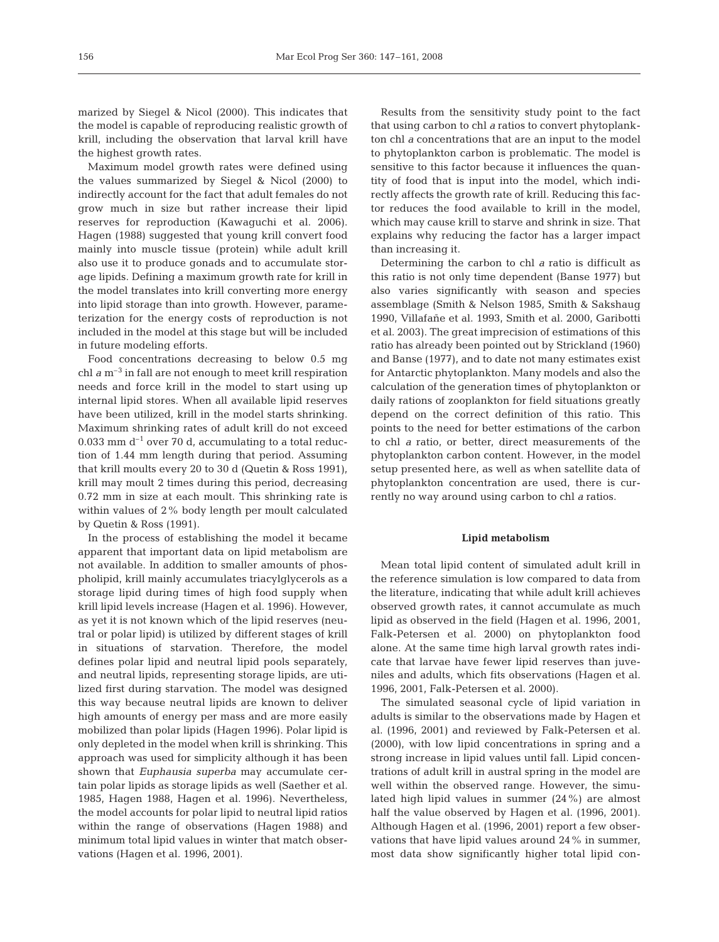marized by Siegel & Nicol (2000). This indicates that the model is capable of reproducing realistic growth of krill, including the observation that larval krill have the highest growth rates.

Maximum model growth rates were defined using the values summarized by Siegel & Nicol (2000) to indirectly account for the fact that adult females do not grow much in size but rather increase their lipid reserves for reproduction (Kawaguchi et al. 2006). Hagen (1988) suggested that young krill convert food mainly into muscle tissue (protein) while adult krill also use it to produce gonads and to accumulate storage lipids. Defining a maximum growth rate for krill in the model translates into krill converting more energy into lipid storage than into growth. However, parameterization for the energy costs of reproduction is not included in the model at this stage but will be included in future modeling efforts.

Food concentrations decreasing to below 0.5 mg chl  $a$  m<sup>-3</sup> in fall are not enough to meet krill respiration needs and force krill in the model to start using up internal lipid stores. When all available lipid reserves have been utilized, krill in the model starts shrinking. Maximum shrinking rates of adult krill do not exceed 0.033 mm  $d^{-1}$  over 70 d, accumulating to a total reduction of 1.44 mm length during that period. Assuming that krill moults every 20 to 30 d (Quetin & Ross 1991), krill may moult 2 times during this period, decreasing 0.72 mm in size at each moult. This shrinking rate is within values of 2% body length per moult calculated by Quetin & Ross (1991).

In the process of establishing the model it became apparent that important data on lipid metabolism are not available. In addition to smaller amounts of phospholipid, krill mainly accumulates triacylglycerols as a storage lipid during times of high food supply when krill lipid levels increase (Hagen et al. 1996). However, as yet it is not known which of the lipid reserves (neutral or polar lipid) is utilized by different stages of krill in situations of starvation. Therefore, the model defines polar lipid and neutral lipid pools separately, and neutral lipids, representing storage lipids, are utilized first during starvation. The model was designed this way because neutral lipids are known to deliver high amounts of energy per mass and are more easily mobilized than polar lipids (Hagen 1996). Polar lipid is only depleted in the model when krill is shrinking. This approach was used for simplicity although it has been shown that *Euphausia superba* may accumulate certain polar lipids as storage lipids as well (Saether et al. 1985, Hagen 1988, Hagen et al. 1996). Nevertheless, the model accounts for polar lipid to neutral lipid ratios within the range of observations (Hagen 1988) and minimum total lipid values in winter that match observations (Hagen et al. 1996, 2001).

Results from the sensitivity study point to the fact that using carbon to chl *a* ratios to convert phytoplankton chl *a* concentrations that are an input to the model to phytoplankton carbon is problematic. The model is sensitive to this factor because it influences the quantity of food that is input into the model, which indirectly affects the growth rate of krill. Reducing this factor reduces the food available to krill in the model, which may cause krill to starve and shrink in size. That explains why reducing the factor has a larger impact than increasing it.

Determining the carbon to chl *a* ratio is difficult as this ratio is not only time dependent (Banse 1977) but also varies significantly with season and species assemblage (Smith & Nelson 1985, Smith & Sakshaug 1990, Villafañe et al. 1993, Smith et al. 2000, Garibotti et al. 2003). The great imprecision of estimations of this ratio has already been pointed out by Strickland (1960) and Banse (1977), and to date not many estimates exist for Antarctic phytoplankton. Many models and also the calculation of the generation times of phytoplankton or daily rations of zooplankton for field situations greatly depend on the correct definition of this ratio. This points to the need for better estimations of the carbon to chl *a* ratio, or better, direct measurements of the phytoplankton carbon content. However, in the model setup presented here, as well as when satellite data of phytoplankton concentration are used, there is currently no way around using carbon to chl *a* ratios.

#### **Lipid metabolism**

Mean total lipid content of simulated adult krill in the reference simulation is low compared to data from the literature, indicating that while adult krill achieves observed growth rates, it cannot accumulate as much lipid as observed in the field (Hagen et al. 1996, 2001, Falk-Petersen et al. 2000) on phytoplankton food alone. At the same time high larval growth rates indicate that larvae have fewer lipid reserves than juveniles and adults, which fits observations (Hagen et al. 1996, 2001, Falk-Petersen et al. 2000).

The simulated seasonal cycle of lipid variation in adults is similar to the observations made by Hagen et al. (1996, 2001) and reviewed by Falk-Petersen et al. (2000), with low lipid concentrations in spring and a strong increase in lipid values until fall. Lipid concentrations of adult krill in austral spring in the model are well within the observed range. However, the simulated high lipid values in summer (24%) are almost half the value observed by Hagen et al. (1996, 2001). Although Hagen et al. (1996, 2001) report a few observations that have lipid values around 24% in summer, most data show significantly higher total lipid con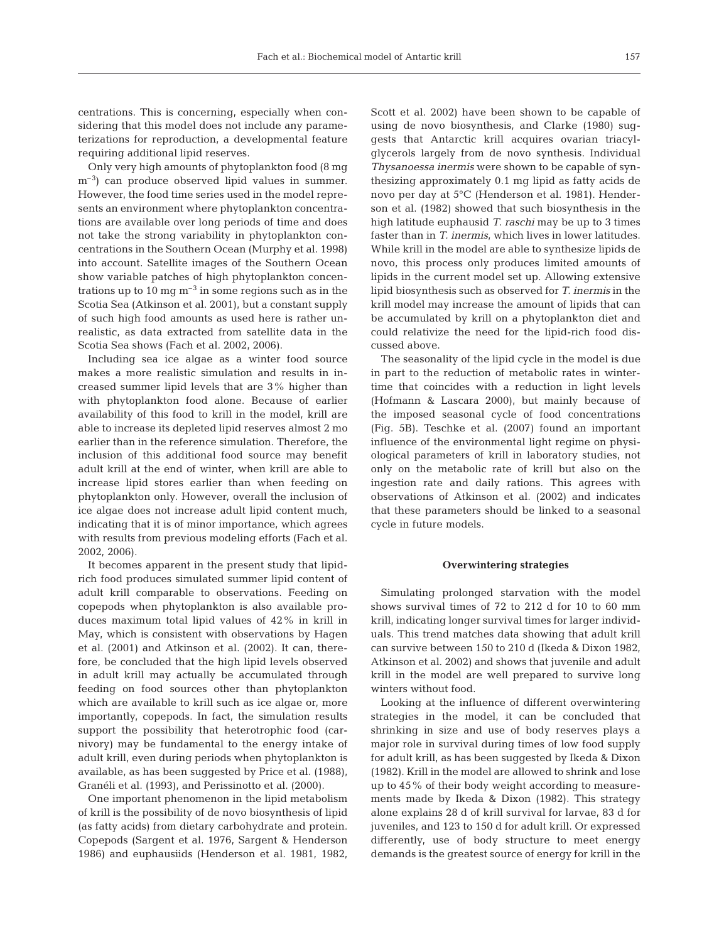centrations. This is concerning, especially when considering that this model does not include any parameterizations for reproduction, a developmental feature requiring additional lipid reserves.

Only very high amounts of phytoplankton food (8 mg  $\rm m^{-3}$ ) can produce observed lipid values in summer. However, the food time series used in the model represents an environment where phytoplankton concentrations are available over long periods of time and does not take the strong variability in phytoplankton concentrations in the Southern Ocean (Murphy et al. 1998) into account. Satellite images of the Southern Ocean show variable patches of high phytoplankton concentrations up to 10 mg  $m^{-3}$  in some regions such as in the Scotia Sea (Atkinson et al. 2001), but a constant supply of such high food amounts as used here is rather unrealistic, as data extracted from satellite data in the Scotia Sea shows (Fach et al. 2002, 2006).

Including sea ice algae as a winter food source makes a more realistic simulation and results in increased summer lipid levels that are 3% higher than with phytoplankton food alone. Because of earlier availability of this food to krill in the model, krill are able to increase its depleted lipid reserves almost 2 mo earlier than in the reference simulation. Therefore, the inclusion of this additional food source may benefit adult krill at the end of winter, when krill are able to increase lipid stores earlier than when feeding on phytoplankton only. However, overall the inclusion of ice algae does not increase adult lipid content much, indicating that it is of minor importance, which agrees with results from previous modeling efforts (Fach et al. 2002, 2006).

It becomes apparent in the present study that lipidrich food produces simulated summer lipid content of adult krill comparable to observations. Feeding on copepods when phytoplankton is also available produces maximum total lipid values of 42% in krill in May, which is consistent with observations by Hagen et al. (2001) and Atkinson et al. (2002). It can, therefore, be concluded that the high lipid levels observed in adult krill may actually be accumulated through feeding on food sources other than phytoplankton which are available to krill such as ice algae or, more importantly, copepods. In fact, the simulation results support the possibility that heterotrophic food (carnivory) may be fundamental to the energy intake of adult krill, even during periods when phytoplankton is available, as has been suggested by Price et al. (1988), Granéli et al. (1993), and Perissinotto et al. (2000).

One important phenomenon in the lipid metabolism of krill is the possibility of de novo biosynthesis of lipid (as fatty acids) from dietary carbohydrate and protein. Copepods (Sargent et al. 1976, Sargent & Henderson 1986) and euphausiids (Henderson et al. 1981, 1982, Scott et al. 2002) have been shown to be capable of using de novo biosynthesis, and Clarke (1980) suggests that Antarctic krill acquires ovarian triacylglycerols largely from de novo synthesis. Individual *Thysanoessa inermis* were shown to be capable of synthesizing approximately 0.1 mg lipid as fatty acids de novo per day at 5°C (Henderson et al. 1981). Henderson et al. (1982) showed that such biosynthesis in the high latitude euphausid *T. raschi* may be up to 3 times faster than in *T. inermis*, which lives in lower latitudes. While krill in the model are able to synthesize lipids de novo, this process only produces limited amounts of lipids in the current model set up. Allowing extensive lipid biosynthesis such as observed for *T. inermis* in the krill model may increase the amount of lipids that can be accumulated by krill on a phytoplankton diet and could relativize the need for the lipid-rich food discussed above.

The seasonality of the lipid cycle in the model is due in part to the reduction of metabolic rates in wintertime that coincides with a reduction in light levels (Hofmann & Lascara 2000), but mainly because of the imposed seasonal cycle of food concentrations (Fig. 5B). Teschke et al. (2007) found an important influence of the environmental light regime on physiological parameters of krill in laboratory studies, not only on the metabolic rate of krill but also on the ingestion rate and daily rations. This agrees with observations of Atkinson et al. (2002) and indicates that these parameters should be linked to a seasonal cycle in future models.

#### **Overwintering strategies**

Simulating prolonged starvation with the model shows survival times of 72 to 212 d for 10 to 60 mm krill, indicating longer survival times for larger individuals. This trend matches data showing that adult krill can survive between 150 to 210 d (Ikeda & Dixon 1982, Atkinson et al. 2002) and shows that juvenile and adult krill in the model are well prepared to survive long winters without food.

Looking at the influence of different overwintering strategies in the model, it can be concluded that shrinking in size and use of body reserves plays a major role in survival during times of low food supply for adult krill, as has been suggested by Ikeda & Dixon (1982). Krill in the model are allowed to shrink and lose up to 45% of their body weight according to measurements made by Ikeda & Dixon (1982). This strategy alone explains 28 d of krill survival for larvae, 83 d for juveniles, and 123 to 150 d for adult krill. Or expressed differently, use of body structure to meet energy demands is the greatest source of energy for krill in the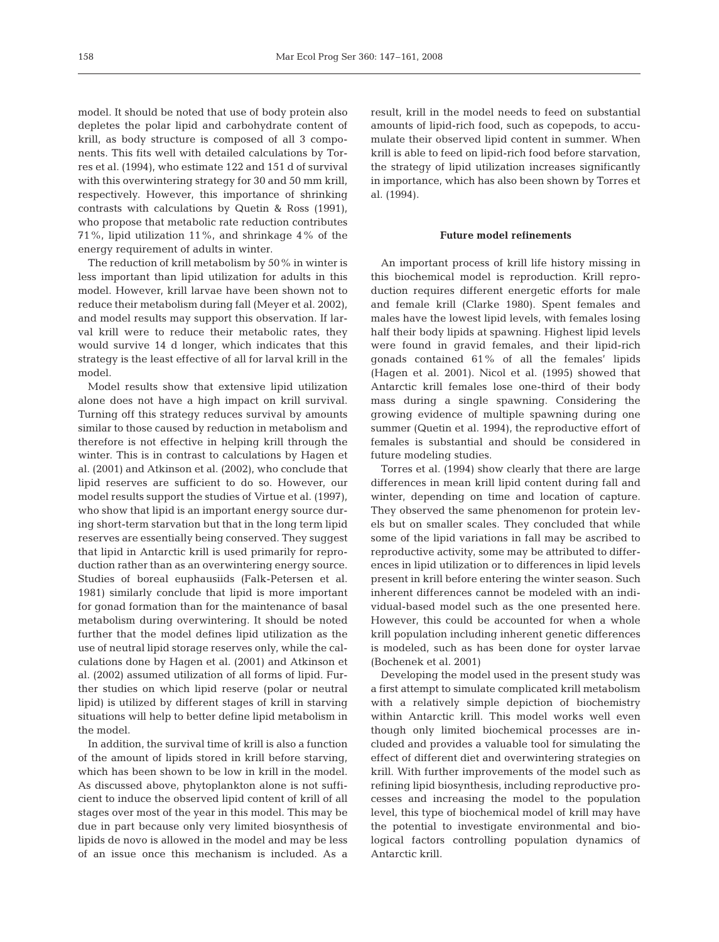model. It should be noted that use of body protein also depletes the polar lipid and carbohydrate content of krill, as body structure is composed of all 3 components. This fits well with detailed calculations by Torres et al. (1994), who estimate 122 and 151 d of survival with this overwintering strategy for 30 and 50 mm krill, respectively. However, this importance of shrinking contrasts with calculations by Quetin & Ross (1991), who propose that metabolic rate reduction contributes 71%, lipid utilization 11%, and shrinkage 4% of the energy requirement of adults in winter.

The reduction of krill metabolism by 50% in winter is less important than lipid utilization for adults in this model. However, krill larvae have been shown not to reduce their metabolism during fall (Meyer et al. 2002), and model results may support this observation. If larval krill were to reduce their metabolic rates, they would survive 14 d longer, which indicates that this strategy is the least effective of all for larval krill in the model.

Model results show that extensive lipid utilization alone does not have a high impact on krill survival. Turning off this strategy reduces survival by amounts similar to those caused by reduction in metabolism and therefore is not effective in helping krill through the winter. This is in contrast to calculations by Hagen et al. (2001) and Atkinson et al. (2002), who conclude that lipid reserves are sufficient to do so. However, our model results support the studies of Virtue et al. (1997), who show that lipid is an important energy source during short-term starvation but that in the long term lipid reserves are essentially being conserved. They suggest that lipid in Antarctic krill is used primarily for reproduction rather than as an overwintering energy source. Studies of boreal euphausiids (Falk-Petersen et al. 1981) similarly conclude that lipid is more important for gonad formation than for the maintenance of basal metabolism during overwintering. It should be noted further that the model defines lipid utilization as the use of neutral lipid storage reserves only, while the calculations done by Hagen et al. (2001) and Atkinson et al. (2002) assumed utilization of all forms of lipid. Further studies on which lipid reserve (polar or neutral lipid) is utilized by different stages of krill in starving situations will help to better define lipid metabolism in the model.

In addition, the survival time of krill is also a function of the amount of lipids stored in krill before starving, which has been shown to be low in krill in the model. As discussed above, phytoplankton alone is not sufficient to induce the observed lipid content of krill of all stages over most of the year in this model. This may be due in part because only very limited biosynthesis of lipids de novo is allowed in the model and may be less of an issue once this mechanism is included. As a result, krill in the model needs to feed on substantial amounts of lipid-rich food, such as copepods, to accumulate their observed lipid content in summer. When krill is able to feed on lipid-rich food before starvation, the strategy of lipid utilization increases significantly in importance, which has also been shown by Torres et al. (1994).

## **Future model refinements**

An important process of krill life history missing in this biochemical model is reproduction. Krill reproduction requires different energetic efforts for male and female krill (Clarke 1980). Spent females and males have the lowest lipid levels, with females losing half their body lipids at spawning. Highest lipid levels were found in gravid females, and their lipid-rich gonads contained 61% of all the females' lipids (Hagen et al. 2001). Nicol et al. (1995) showed that Antarctic krill females lose one-third of their body mass during a single spawning. Considering the growing evidence of multiple spawning during one summer (Quetin et al. 1994), the reproductive effort of females is substantial and should be considered in future modeling studies.

Torres et al. (1994) show clearly that there are large differences in mean krill lipid content during fall and winter, depending on time and location of capture. They observed the same phenomenon for protein levels but on smaller scales. They concluded that while some of the lipid variations in fall may be ascribed to reproductive activity, some may be attributed to differences in lipid utilization or to differences in lipid levels present in krill before entering the winter season. Such inherent differences cannot be modeled with an individual-based model such as the one presented here. However, this could be accounted for when a whole krill population including inherent genetic differences is modeled, such as has been done for oyster larvae (Bochenek et al. 2001)

Developing the model used in the present study was a first attempt to simulate complicated krill metabolism with a relatively simple depiction of biochemistry within Antarctic krill. This model works well even though only limited biochemical processes are included and provides a valuable tool for simulating the effect of different diet and overwintering strategies on krill. With further improvements of the model such as refining lipid biosynthesis, including reproductive processes and increasing the model to the population level, this type of biochemical model of krill may have the potential to investigate environmental and biological factors controlling population dynamics of Antarctic krill.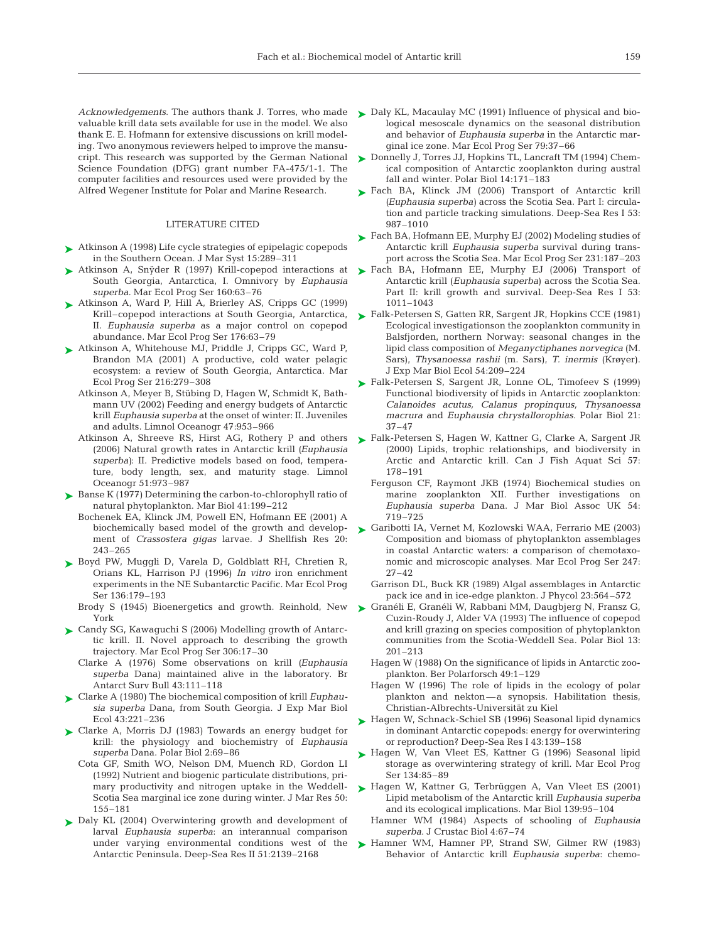*Acknowledgements*. The authors thank J. Torres, who made valuable krill data sets available for use in the model. We also thank E. E. Hofmann for extensive discussions on krill modeling. Two anonymous reviewers helped to improve the mansucript. This research was supported by the German National Science Foundation (DFG) grant number FA-475/1-1. The computer facilities and resources used were provided by the Alfred Wegener Institute for Polar and Marine Research.

#### LITERATURE CITED

- Atkinson A (1998) Life cycle strategies of epipelagic copepods ➤ in the Southern Ocean. J Mar Syst 15:289–311
- ► Atkinson A, Snÿder R (1997) Krill-copepod interactions at South Georgia, Antarctica, I. Omnivory by *Euphausia superba.* Mar Ecol Prog Ser 160:63–76
- ▶ Atkinson A, Ward P, Hill A, Brierley AS, Cripps GC (1999) Krill–copepod interactions at South Georgia, Antarctica, II. *Euphausia superba* as a major control on copepod abundance. Mar Ecol Prog Ser 176:63–79
- ▶ Atkinson A, Whitehouse MJ, Priddle J, Cripps GC, Ward P, Brandon MA (2001) A productive, cold water pelagic ecosystem: a review of South Georgia, Antarctica. Mar Ecol Prog Ser 216:279–308
	- Atkinson A, Meyer B, Stübing D, Hagen W, Schmidt K, Bathmann UV (2002) Feeding and energy budgets of Antarctic krill *Euphausia superba* at the onset of winter: II. Juveniles and adults. Limnol Oceanogr 47:953–966
	- Atkinson A, Shreeve RS, Hirst AG, Rothery P and others (2006) Natural growth rates in Antarctic krill *(Euphausia superba)*: II. Predictive models based on food, temperature, body length, sex, and maturity stage. Limnol Oceanogr 51:973–987
- ► Banse K (1977) Determining the carbon-to-chlorophyll ratio of natural phytoplankton. Mar Biol 41:199–212
	- Bochenek EA, Klinck JM, Powell EN, Hofmann EE (2001) A biochemically based model of the growth and development of *Crassostera gigas* larvae. J Shellfish Res 20: 243–265
- ► Boyd PW, Muggli D, Varela D, Goldblatt RH, Chretien R, Orians KL, Harrison PJ (1996) *In vitro* iron enrichment experiments in the NE Subantarctic Pacific. Mar Ecol Prog Ser 136:179–193
	- Brody S (1945) Bioenergetics and growth. Reinhold, New York
- ► Candy SG, Kawaguchi S (2006) Modelling growth of Antarctic krill. II. Novel approach to describing the growth trajectory. Mar Ecol Prog Ser 306:17–30
	- Clarke A (1976) Some observations on krill *(Euphausia superba* Dana) maintained alive in the laboratory. Br Antarct Surv Bull 43:111–118
- Clarke A (1980) The biochemical composition of krill *Euphau-*➤ *sia superba* Dana, from South Georgia. J Exp Mar Biol Ecol 43:221–236
- ► Clarke A, Morris DJ (1983) Towards an energy budget for krill: the physiology and biochemistry of *Euphausia superba* Dana. Polar Biol 2:69–86
	- Cota GF, Smith WO, Nelson DM, Muench RD, Gordon LI (1992) Nutrient and biogenic particulate distributions, primary productivity and nitrogen uptake in the Weddell-Scotia Sea marginal ice zone during winter. J Mar Res 50: 155–181
- Daly KL (2004) Overwintering growth and development of ➤ larval *Euphausia superba*: an interannual comparison under varying environmental conditions west of the Antarctic Peninsula. Deep-Sea Res II 51:2139–2168
- ► Daly KL, Macaulay MC (1991) Influence of physical and biological mesoscale dynamics on the seasonal distribution and behavior of *Euphausia superba* in the Antarctic marginal ice zone. Mar Ecol Prog Ser 79:37–66
- ► Donnelly J, Torres JJ, Hopkins TL, Lancraft TM (1994) Chemical composition of Antarctic zooplankton during austral fall and winter. Polar Biol 14:171–183
- ► Fach BA, Klinck JM (2006) Transport of Antarctic krill *(Euphausia superba)* across the Scotia Sea. Part I: circulation and particle tracking simulations. Deep-Sea Res I 53: 987–1010
- ► Fach BA, Hofmann EE, Murphy EJ (2002) Modeling studies of Antarctic krill *Euphausia superba* survival during transport across the Scotia Sea. Mar Ecol Prog Ser 231:187–203
- ▶ Fach BA, Hofmann EE, Murphy EJ (2006) Transport of Antarctic krill (*Euphausia superba*) across the Scotia Sea. Part II: krill growth and survival. Deep-Sea Res I 53: 1011–1043
- ► Falk-Petersen S, Gatten RR, Sargent JR, Hopkins CCE (1981) Ecological investigationson the zooplankton community in Balsfjorden, northern Norway: seasonal changes in the lipid class composition of *Meganyctiphanes norvegica* (M. Sars), *Thysanoessa rashii* (m. Sars), *T. inermis* (Krøyer). J Exp Mar Biol Ecol 54:209–224
- ► Falk-Petersen S, Sargent JR, Lonne OL, Timofeev S (1999) Functional biodiversity of lipids in Antarctic zooplankton: *Calanoides acutus, Calanus propinquus, Thysanoessa macrura* and *Euphausia chrystallorophias.* Polar Biol 21: 37–47
- ► Falk-Petersen S, Hagen W, Kattner G, Clarke A, Sargent JR (2000) Lipids, trophic relationships, and biodiversity in Arctic and Antarctic krill. Can J Fish Aquat Sci 57: 178–191
	- Ferguson CF, Raymont JKB (1974) Biochemical studies on marine zooplankton XII. Further investigations on *Euphausia superba* Dana. J Mar Biol Assoc UK 54: 719–725
- ► Garibotti IA, Vernet M, Kozlowski WAA, Ferrario ME (2003) Composition and biomass of phytoplankton assemblages in coastal Antarctic waters: a comparison of chemotaxonomic and microscopic analyses. Mar Ecol Prog Ser 247: 27–42
	- Garrison DL, Buck KR (1989) Algal assemblages in Antarctic pack ice and in ice-edge plankton. J Phycol 23:564–572
- Granéli E, Granéli W, Rabbani MM, Daugbjerg N, Fransz G, ➤ Cuzin-Roudy J, Alder VA (1993) The influence of copepod and krill grazing on species composition of phytoplankton communities from the Scotia-Weddell Sea. Polar Biol 13: 201–213
	- Hagen W (1988) On the significance of lipids in Antarctic zooplankton. Ber Polarforsch 49:1–129
	- Hagen W (1996) The role of lipids in the ecology of polar plankton and nekton—a synopsis. Habilitation thesis, Christian-Albrechts-Universität zu Kiel
- ► Hagen W, Schnack-Schiel SB (1996) Seasonal lipid dynamics in dominant Antarctic copepods: energy for overwintering or reproduction? Deep-Sea Res I 43:139–158
- ► Hagen W, Van Vleet ES, Kattner G (1996) Seasonal lipid storage as overwintering strategy of krill. Mar Ecol Prog Ser 134:85–89
- ► Hagen W, Kattner G, Terbrüggen A, Van Vleet ES (2001) Lipid metabolism of the Antarctic krill *Euphausia superba* and its ecological implications. Mar Biol 139:95–104
	- Hamner WM (1984) Aspects of schooling of *Euphausia superba*. J Crustac Biol 4:67–74
- ▶ Hamner WM, Hamner PP, Strand SW, Gilmer RW (1983) Behavior of Antarctic krill *Euphausia superba*: chemo-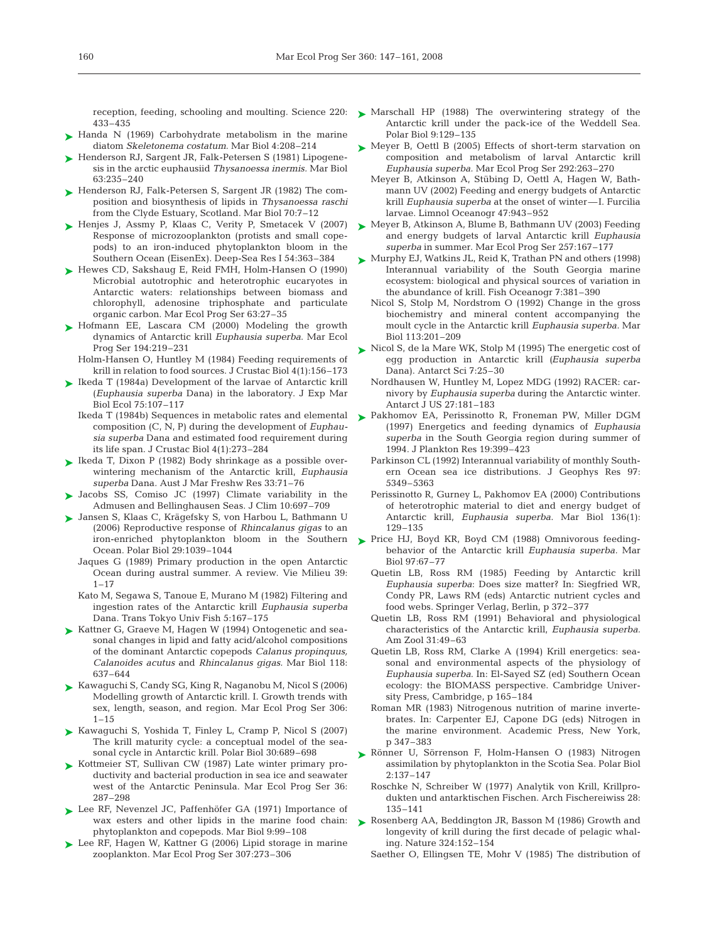433–435

- ► Handa N (1969) Carbohydrate metabolism in the marine diatom *Skeletonema costatum*. Mar Biol 4:208–214
- ► Henderson RJ, Sargent JR, Falk-Petersen S (1981) Lipogenesis in the arctic euphausiid *Thysanoessa inermis.* Mar Biol 63:235–240
- ► Henderson RJ, Falk-Petersen S, Sargent JR (1982) The composition and biosynthesis of lipids in *Thysanoessa raschi* from the Clyde Estuary, Scotland. Mar Biol 70:7–12
- ► Henjes J, Assmy P, Klaas C, Verity P, Smetacek V (2007) Response of microzooplankton (protists and small copepods) to an iron-induced phytoplankton bloom in the Southern Ocean (EisenEx). Deep-Sea Res I 54:363–384
- ► Hewes CD, Sakshaug E, Reid FMH, Holm-Hansen O (1990) Microbial autotrophic and heterotrophic eucaryotes in Antarctic waters: relationships between biomass and chlorophyll, adenosine triphosphate and particulate organic carbon. Mar Ecol Prog Ser 63:27–35
- ► Hofmann EE, Lascara CM (2000) Modeling the growth dynamics of Antarctic krill *Euphausia superba*. Mar Ecol Prog Ser 194:219–231

Holm-Hansen O, Huntley M (1984) Feeding requirements of krill in relation to food sources. J Crustac Biol 4(1):156–173

- ► Ikeda T (1984a) Development of the larvae of Antarctic krill (*Euphausia superba* Dana) in the laboratory. J Exp Mar Biol Ecol 75:107–117
	- Ikeda T (1984b) Sequences in metabolic rates and elemental composition (C, N, P) during the development of *Euphausia superba* Dana and estimated food requirement during its life span. J Crustac Biol 4(1):273–284
- ► Ikeda T, Dixon P (1982) Body shrinkage as a possible overwintering mechanism of the Antarctic krill, *Euphausia superba* Dana*.* Aust J Mar Freshw Res 33:71–76
- ► Jacobs SS, Comiso JC (1997) Climate variability in the Admusen and Bellinghausen Seas. J Clim 10:697–709
- Jansen S, Klaas C, Krägefsky S, von Harbou L, Bathmann U ➤ (2006) Reproductive response of *Rhincalanus gigas* to an Ocean. Polar Biol 29:1039–1044
	- Jaques G (1989) Primary production in the open Antarctic Ocean during austral summer. A review. Vie Milieu 39:  $1 - 17$
	- Kato M, Segawa S, Tanoue E, Murano M (1982) Filtering and ingestion rates of the Antarctic krill *Euphausia superba* Dana. Trans Tokyo Univ Fish 5:167–175
- ► Kattner G, Graeve M, Hagen W (1994) Ontogenetic and seasonal changes in lipid and fatty acid/alcohol compositions of the dominant Antarctic copepods *Calanus propinquus, Calanoides acutus* and *Rhincalanus gigas.* Mar Biol 118: 637–644
- ► Kawaguchi S, Candy SG, King R, Naganobu M, Nicol S (2006) Modelling growth of Antarctic krill. I. Growth trends with sex, length, season, and region. Mar Ecol Prog Ser 306:  $1 - 15$
- ► Kawaguchi S, Yoshida T, Finley L, Cramp P, Nicol S (2007) The krill maturity cycle: a conceptual model of the seasonal cycle in Antarctic krill. Polar Biol 30:689–698
- ► Kottmeier ST, Sullivan CW (1987) Late winter primary productivity and bacterial production in sea ice and seawater west of the Antarctic Peninsula. Mar Ecol Prog Ser 36: 287–298
- ► Lee RF, Nevenzel JC, Paffenhöfer GA (1971) Importance of wax esters and other lipids in the marine food chain: phytoplankton and copepods. Mar Biol 9:99–108
- ► Lee RF, Hagen W, Kattner G (2006) Lipid storage in marine zooplankton. Mar Ecol Prog Ser 307:273–306
- reception, feeding, schooling and moulting. Science 220:  $\blacktriangleright$  Marschall HP (1988) The overwintering strategy of the Antarctic krill under the pack-ice of the Weddell Sea. Polar Biol 9:129–135
	- ► Meyer B, Oettl B (2005) Effects of short-term starvation on composition and metabolism of larval Antarctic krill *Euphausia superba.* Mar Ecol Prog Ser 292:263–270
		- Meyer B, Atkinson A, Stübing D, Oettl A, Hagen W, Bathmann UV (2002) Feeding and energy budgets of Antarctic krill *Euphausia superba* at the onset of winter— I. Furcilia larvae. Limnol Oceanogr 47:943–952
	- ► Meyer B, Atkinson A, Blume B, Bathmann UV (2003) Feeding and energy budgets of larval Antarctic krill *Euphausia superba* in summer. Mar Ecol Prog Ser 257:167–177
	- ► Murphy EJ, Watkins JL, Reid K, Trathan PN and others (1998) Interannual variability of the South Georgia marine ecosystem: biological and physical sources of variation in the abundance of krill. Fish Oceanogr 7:381–390
		- Nicol S, Stolp M, Nordstrom O (1992) Change in the gross biochemistry and mineral content accompanying the moult cycle in the Antarctic krill *Euphausia superba.* Mar Biol 113:201–209
	- ► Nicol S, de la Mare WK, Stolp M (1995) The energetic cost of egg production in Antarctic krill *(Euphausia superba* Dana). Antarct Sci 7:25–30
		- Nordhausen W, Huntley M, Lopez MDG (1992) RACER: carnivory by *Euphausia superba* during the Antarctic winter. Antarct J US 27:181–183
	- ▶ Pakhomov EA, Perissinotto R, Froneman PW, Miller DGM (1997) Energetics and feeding dynamics of *Euphausia superba* in the South Georgia region during summer of 1994. J Plankton Res 19:399–423
		- Parkinson CL (1992) Interannual variability of monthly Southern Ocean sea ice distributions. J Geophys Res 97: 5349–5363
		- Perissinotto R, Gurney L, Pakhomov EA (2000) Contributions of heterotrophic material to diet and energy budget of Antarctic krill, *Euphausia superba*. Mar Biol 136(1): 129–135
- iron-enriched phytoplankton bloom in the Southern  $\blacktriangleright$  Price HJ, Boyd KR, Boyd CM (1988) Omnivorous feedingbehavior of the Antarctic krill *Euphausia superba.* Mar Biol 97:67–77
	- Quetin LB, Ross RM (1985) Feeding by Antarctic krill *Euphausia superba*: Does size matter? In: Siegfried WR, Condy PR, Laws RM (eds) Antarctic nutrient cycles and food webs. Springer Verlag, Berlin, p 372–377
	- Quetin LB, Ross RM (1991) Behavioral and physiological characteristics of the Antarctic krill, *Euphausia superba.* Am Zool 31:49–63
	- Quetin LB, Ross RM, Clarke A (1994) Krill energetics: seasonal and environmental aspects of the physiology of *Euphausia superba*. In: El-Sayed SZ (ed) Southern Ocean ecology: the BIOMASS perspective. Cambridge University Press, Cambridge, p 165–184
	- Roman MR (1983) Nitrogenous nutrition of marine invertebrates. In: Carpenter EJ, Capone DG (eds) Nitrogen in the marine environment. Academic Press, New York, p 347–383
	- ► Rönner U, Sörrenson F, Holm-Hansen O (1983) Nitrogen assimilation by phytoplankton in the Scotia Sea. Polar Biol 2:137–147
		- Roschke N, Schreiber W (1977) Analytik von Krill, Krillprodukten und antarktischen Fischen. Arch Fischereiwiss 28: 135–141
	- ▶ Rosenberg AA, Beddington JR, Basson M (1986) Growth and longevity of krill during the first decade of pelagic whaling. Nature 324:152–154
		- Saether O, Ellingsen TE, Mohr V (1985) The distribution of